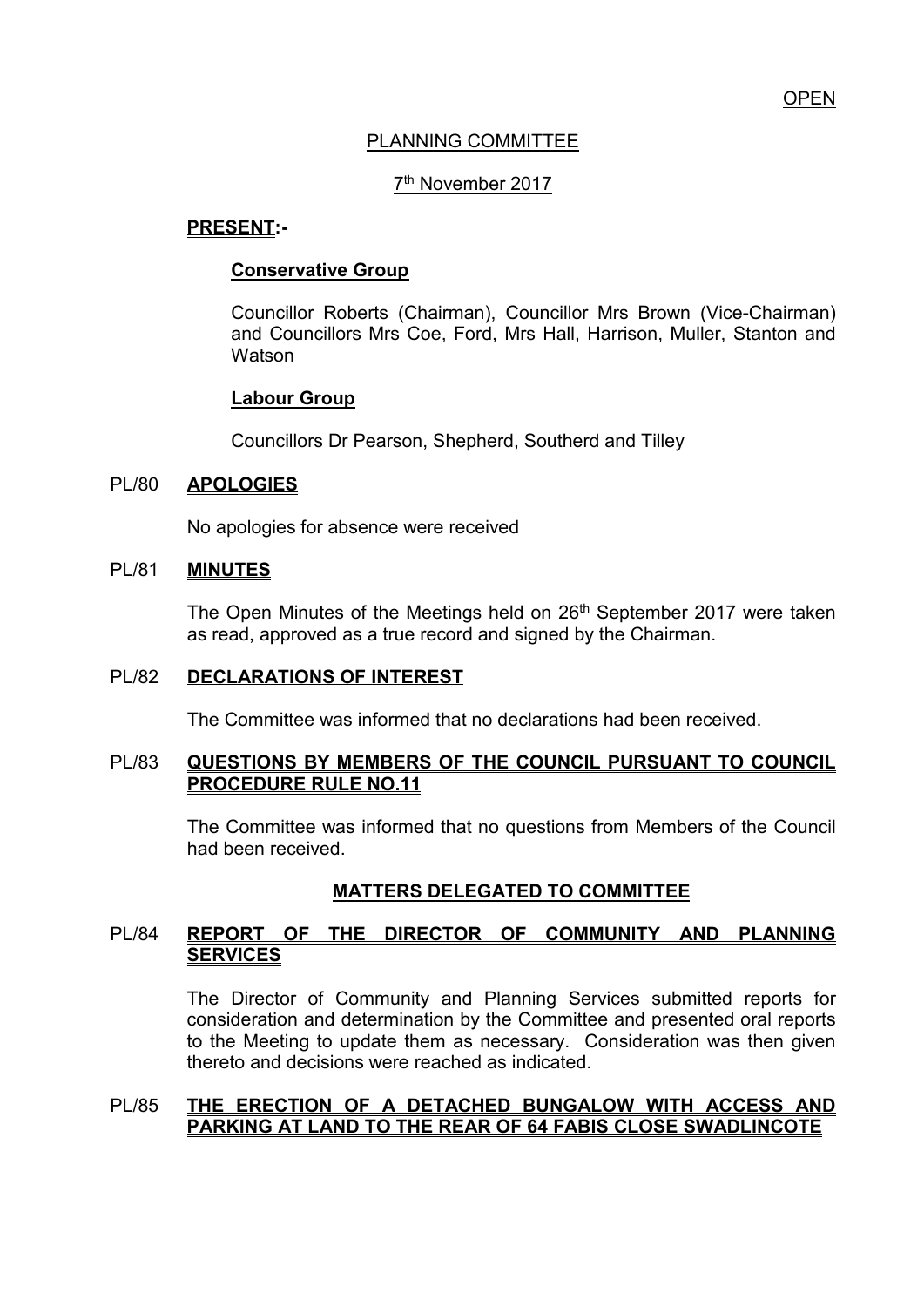## PLANNING COMMITTEE

# 7<sup>th</sup> November 2017

## **PRESENT:-**

#### **Conservative Group**

Councillor Roberts (Chairman), Councillor Mrs Brown (Vice-Chairman) and Councillors Mrs Coe, Ford, Mrs Hall, Harrison, Muller, Stanton and **Watson** 

## **Labour Group**

Councillors Dr Pearson, Shepherd, Southerd and Tilley

#### PL/80 **APOLOGIES**

No apologies for absence were received

## PL/81 **MINUTES**

The Open Minutes of the Meetings held on 26<sup>th</sup> September 2017 were taken as read, approved as a true record and signed by the Chairman.

#### PL/82 **DECLARATIONS OF INTEREST**

The Committee was informed that no declarations had been received.

#### PL/83 **QUESTIONS BY MEMBERS OF THE COUNCIL PURSUANT TO COUNCIL PROCEDURE RULE NO.11**

 The Committee was informed that no questions from Members of the Council had been received.

# **MATTERS DELEGATED TO COMMITTEE**

## PL/84 **REPORT OF THE DIRECTOR OF COMMUNITY AND PLANNING SERVICES**

The Director of Community and Planning Services submitted reports for consideration and determination by the Committee and presented oral reports to the Meeting to update them as necessary. Consideration was then given thereto and decisions were reached as indicated.

## PL/85 **THE ERECTION OF A DETACHED BUNGALOW WITH ACCESS AND PARKING AT LAND TO THE REAR OF 64 FABIS CLOSE SWADLINCOTE**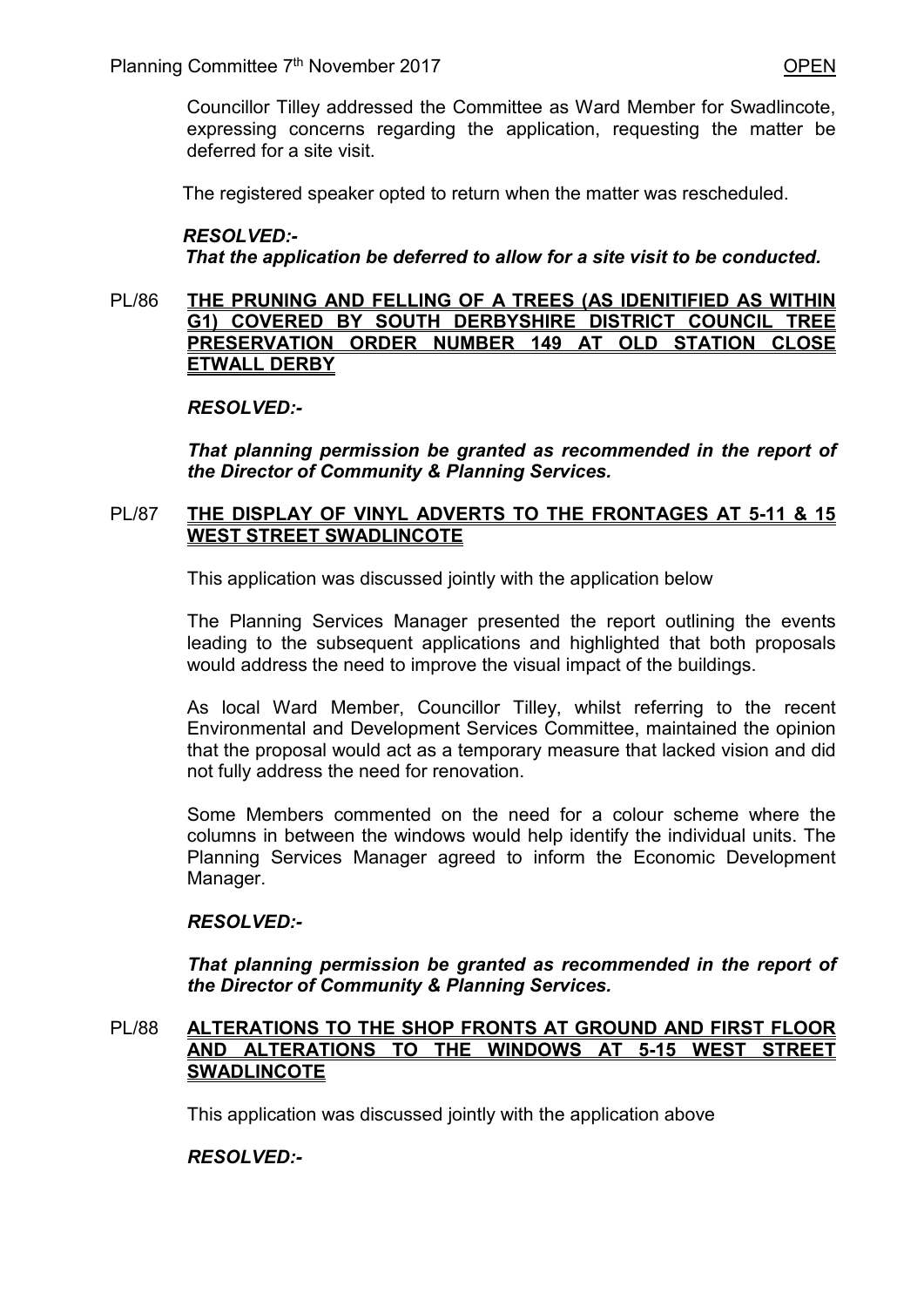Councillor Tilley addressed the Committee as Ward Member for Swadlincote, expressing concerns regarding the application, requesting the matter be deferred for a site visit.

The registered speaker opted to return when the matter was rescheduled.

## *RESOLVED:-*

 *That the application be deferred to allow for a site visit to be conducted.* 

#### PL/86 **THE PRUNING AND FELLING OF A TREES (AS IDENITIFIED AS WITHIN G1) COVERED BY SOUTH DERBYSHIRE DISTRICT COUNCIL TREE PRESERVATION ORDER NUMBER 149 AT OLD STATION CLOSE ETWALL DERBY**

#### *RESOLVED:-*

*That planning permission be granted as recommended in the report of the Director of Community & Planning Services.* 

## PL/87 **THE DISPLAY OF VINYL ADVERTS TO THE FRONTAGES AT 5-11 & 15 WEST STREET SWADLINCOTE**

This application was discussed jointly with the application below

The Planning Services Manager presented the report outlining the events leading to the subsequent applications and highlighted that both proposals would address the need to improve the visual impact of the buildings.

As local Ward Member, Councillor Tilley, whilst referring to the recent Environmental and Development Services Committee, maintained the opinion that the proposal would act as a temporary measure that lacked vision and did not fully address the need for renovation.

Some Members commented on the need for a colour scheme where the columns in between the windows would help identify the individual units. The Planning Services Manager agreed to inform the Economic Development Manager.

## *RESOLVED:-*

*That planning permission be granted as recommended in the report of the Director of Community & Planning Services.* 

## PL/88 **ALTERATIONS TO THE SHOP FRONTS AT GROUND AND FIRST FLOOR AND ALTERATIONS TO THE WINDOWS AT 5-15 WEST STREET SWADLINCOTE**

This application was discussed jointly with the application above

## *RESOLVED:-*